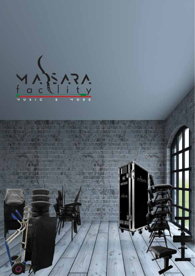

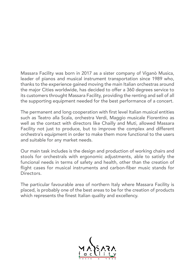Massara Facility was born in 2017 as a sister company of Viganò Musica, leader of pianos and musical instrument transportation since 1989 who, thanks to the experience gained moving the main Italian orchestras around the major Cities worldwide, has decided to offer a 360 degrees service to its customers throught Massara Facility, providing the renting and sell of all the supporting equipment needed for the best performance of a concert.

The permanent and long cooperation with first level Italian musical entities such as Teatro alla Scala, orchestra Verdi, Maggio musicale Fiorentino as well as the contact with directors like Chailly and Muti, allowed Massara Facility not just to produce, but to improve the complex and different orchestra's equipment in order to make them more functional to the users and suitable for any market needs.

Our main task includes is the design and production of working chairs and stools for orchestrals with ergonomic adjustments, able to satisfy the funcional needs in terms of safety and health, other than the creation of flight cases for musical instruments and carbon-fiber music stands for Directors.

The particular favourable area of northern Italy where Massara Facility is placed, is probably one of the best areas to be for the creation of products which represents the finest Italian quality and excellency.

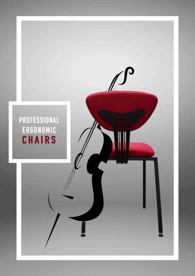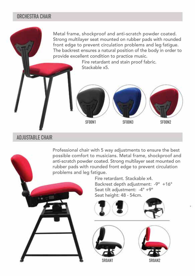#### **ORCHESTRA CHAIR**

Metal frame, shockproof and anti-scratch powder coated. Strong multilayer seat mounted on rubber pads with rounded front edge to prevent circulation problems and leg fatigue. The backrest ensures a natural position of the body in order to provide excellent condition to practice music.

> Fire retardant and stain proof fabric. Stackable x5.





**SF00N1 SF00N3 SF00N2**

#### **ADJUSTABLE CHAIR**

Professional chair with 5 way adjustments to ensure the best possible comfort to musicians. Metal frame, shockproof and anti-scratch powder coated. Strong multilayer seat mounted on rubber pads with rounded front edge to prevent circulation problems and leg fatigue.

> Fire retardant. Stackable x4. Backrest depth adjustment: -9° +16° Seat tilt adjustment: -4° +9° Seat height: 48 - 54cm.





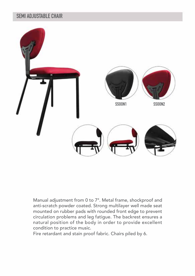### **SEMI AD JUSTABLE CHAIR**



Manual adjustment from 0 to 7°. Metal frame, shockproof and anti-scratch powder coated. Strong multilayer well made seat mounted on rubber pads with rounded front edge to prevent circulation problems and leg fatigue. The backrest ensures a natural position of the body in order to provide excellent condition to practice music.

Fire retardant and stain proof fabric. Chairs piled by 6.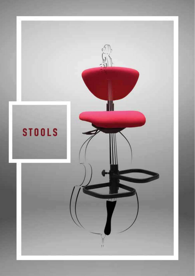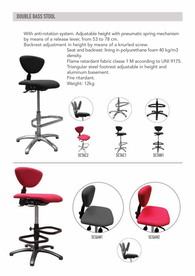## **DOUBLE BASS STOOL**

With anti-rotation system. Adjustable height with pneumatic spring mechanism by means of a release lever, from 53 to 78 cm.

Backrest adjustment in height by means of a knurled screw.

Seat and backrest: lining in polyurethane foam 40 kg/m3 density.

Flame retardant fabric classe 1 M according to UNI 9175. Triangular steel footrest adjustable in height and aluminum basement.

Fire ritardant.

Weight: 12kg



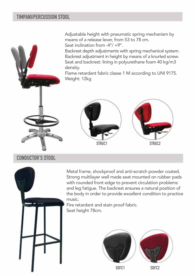#### **TIMPANI/PERCUSSION STOOL**



Adjustable height with pneumatic spring mechanism by means of a release lever, from 53 to 78 cm. Seat inclination from -4°/ +9°.

Backrest depth adjustments with spring mechanical system. Backrest adjustment in height by means of a knurled screw. Seat and backrest: lining in polyurethane foam 40 kg/m3 density.

Flame retardant fabric classe 1 M according to UNI 9175. Weight: 12kg



### **CONDUCTOR'S STOOL**



Metal frame, shockproof and anti-scratch powder coated. Strong multilayer well made seat mounted on rubber pads with rounded front edge to prevent circulation problems and leg fatigue. The backrest ensures a natural position of the body in order to provide excellent condition to practice music.

Fire retardant and stain proof fabric. Seat height 78cm.

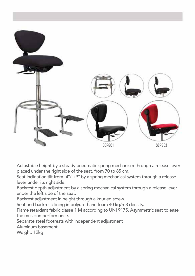

Adjustable height by a steady pneumatic spring mechanism through a release lever placed under the right side of the seat, from 70 to 85 cm.

Seat inclination tilt from -4°/ +9° by a spring mechanical system through a release lever under its right side.

Backrest depth adjustment by a spring mechanical system through a release lever under the left side of the seat.

Backrest adjustment in height through a knurled screw.

Seat and backrest: lining in polyurethane foam 40 kg/m3 density.

Flame retardant fabric classe 1 M according to UNI 9175. Asymmetric seat to ease the musician performance.

Separate steel footrests with independent adjustment

Aluminum basement.

Weight: 12kg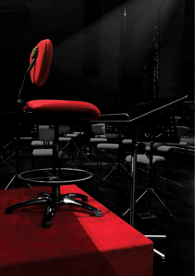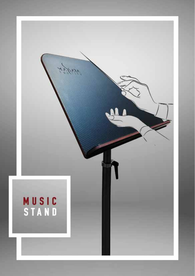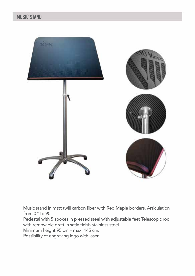# **MUSIC STAND**



Music stand in matt twill carbon fiber with Red Maple borders. Articulation from 0 ° to 90 °.

Pedestal with 5 spokes in pressed steel with adjustable feet Telescopic rod with removable graft in satin finish stainless steel.

Minimum height 95 cm – max 145 cm.

Possibility of engraving logo with laser.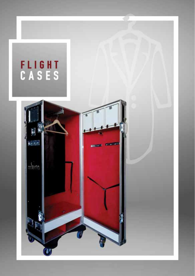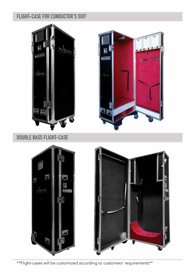## **FLIGHT-CASE FOR CONDUCTOR'S SUIT**





**DOUBLE BASS FLIGHT-CASE**



\*\*Flight-cases will be customized according to customers' requirements\*\*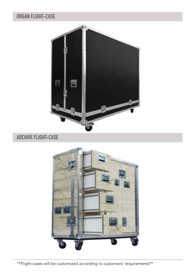# **ORGAN FLIGHT-CASE**



# **ARCHIVE FLIGHT-CASE**

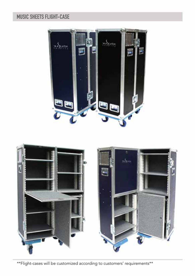# **MUSIC SHEETS FLIGHT-CASE**





\*\*Flight-cases will be customized according to customers' requirements\*\*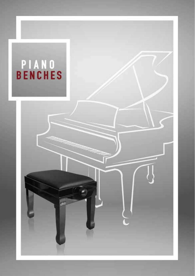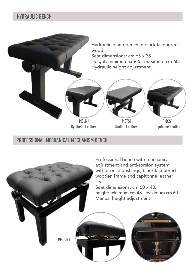### **HYDRAULIC BENCH**

Hydraulic piano bench in black lacquered wood.

Seat dimensions: cm 65 x 35.

Height: minimum cm46 - maximum cm 60. Hydraulic height adjustment.

**PI0LN1 PI0TS1 Synthetic Leather** 





**PI0CS1 Capitonné Leather**

#### **PROFESSIONAL MECHANICAL MECHANISM BENCH**

**PMCCN1**

Professional bench with mechanical adjustment and anti-torsion system with bronze bushings, black lacquered wooden frame and capitonné leather seat.

Seat dimensions: cm 60 x 40. height: minimum cm 48 - maximum cm 60. Manual height adjustment.



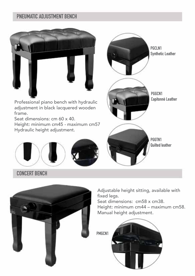## **PNEUMATIC ADJUSTMENT BENCH**



Professional piano bench with hydraulic adjustment in black lacquered wooden frame.

Seat dimensions: cm 60 x 40.

Height: minimum cm45 - maximum cm57 Hydraulic height adjustment.



### **CONCERT BENCH**



Adjustable height sitting, available with fixed legs.

**PGGTN1**

**Quilted leather**

**PGGCN1**

**Capitonnè Leather**

**PGCLN1**

**Synthetic Leather**

Seat dimensions: cm58 x cm38. Height: minimum cm44 – maximum cm58. Manual height adjustment.

**PMGCN1**

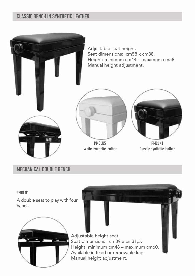## **CLASSIC BENCH IN SYNTHETIC LEATHER**



#### **MECHANICAL DOUBLE BENCH**

#### **PMDLN1**

A double seat to play with four hands.



Adjustable height seat. Seat dimensions: cm89 x cm31,5. Height: minimum cm48 – maximum cm60. Available in fixed or removable legs. Manual height adjustment.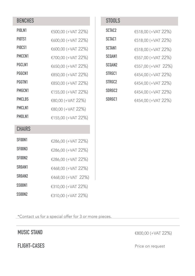#### **BENCHES**

| PIOLN1             | €500,00 (+VAT 22%) | SCTAC <sub>2</sub> | €518,00 (+VAT 22%) |
|--------------------|--------------------|--------------------|--------------------|
| PIOTS1             | €600,00 (+VAT 22%) | SCTAC <sub>1</sub> | €518,00 (+VAT 22%) |
| PIOCS1             | €600,00 (+VAT 22%) | <b>SCTAN1</b>      | €518,00 (+VAT 22%) |
| PMCCN1             | €700,00 (+VAT 22%) | SCQAN1             | €557,00 (+VAT 22%) |
| PGCLN1             | €650,00 (+VAT 22%) | SCQAN <sub>2</sub> | €557,00 (+VAT 22%  |
| PGGCN1             | €850,00 (+VAT 22%) | STRGC1             | €454,00 (+VAT 22%) |
| PGGTN1             | €850,00 (+VAT 22%) | STRGC <sub>2</sub> | €454,00 (+VAT 22%) |
| PMGCN1             | €155,00 (+VAT 22%) | SDRGC <sub>2</sub> | €454,00 (+VAT 22%) |
| PMCLB5             | €80,00 (+VAT 22%)  | SDRGC1             | €454,00 (+VAT 22%) |
| PMCLN1             | €80,00 (+VAT 22%)  |                    |                    |
| PMDLN1             | €155,00 (+VAT 22%) |                    |                    |
| <b>CHAIRS</b>      |                    |                    |                    |
| SF00N1             | €286,00 (+VAT 22%) |                    |                    |
| SF00N3             | €286,00 (+VAT 22%) |                    |                    |
| SF00N2             | €286,00 (+VAT 22%) |                    |                    |
| SROAN1             | €468,00 (+VAT 22%) |                    |                    |
| SROAN <sub>2</sub> | €468,00 (+VAT 22%) |                    |                    |
| SSOON1             | €310,00 (+VAT 22%) |                    |                    |

|                    | <b>STOOLS</b>      |                    |
|--------------------|--------------------|--------------------|
| €500,00 (+VAT 22%) | SCTAC <sub>2</sub> | €518,00 (+VAT 22%) |
| €600,00 (+VAT 22%) | SCTAC <sub>1</sub> | €518,00 (+VAT 22%) |
| €600,00 (+VAT 22%) | <b>SCTAN1</b>      | €518,00 (+VAT 22%) |
| €700,00 (+VAT 22%) | SCQAN1             | €557,00 (+VAT 22%) |
| €650,00 (+VAT 22%) | <b>SCQAN2</b>      | €557,00 (+VAT 22%) |
| €850,00 (+VAT 22%) | STRGC1             | €454,00 (+VAT 22%) |
| €850,00 (+VAT 22%) | STRGC <sub>2</sub> | €454,00 (+VAT 22%) |
| €155,00 (+VAT 22%) | SDRGC <sub>2</sub> | €454,00 (+VAT 22%) |
| €80,00 (+VAT 22%)  | SDRGC1             | €454,00 (+VAT 22%) |

| SF00N1             | €286,00 (+VAT 22%) |
|--------------------|--------------------|
| SF00N3             | €286,00 (+VAT 22%) |
| SFOON2             | €286,00 (+VAT 22%) |
| SROAN1             | €468,00 (+VAT 22%) |
| SROAN <sub>2</sub> | €468,00 (+VAT 22%) |
| SSOON1             | €310,00 (+VAT 22%) |
| SSOON <sub>2</sub> | €310,00 (+VAT 22%) |

\*Contact us for a special offer for 3 or more pieces.

€800,00 (+VAT 22%)

# **FLIGHT-CASES**

**MUSIC STAND**

Price on request